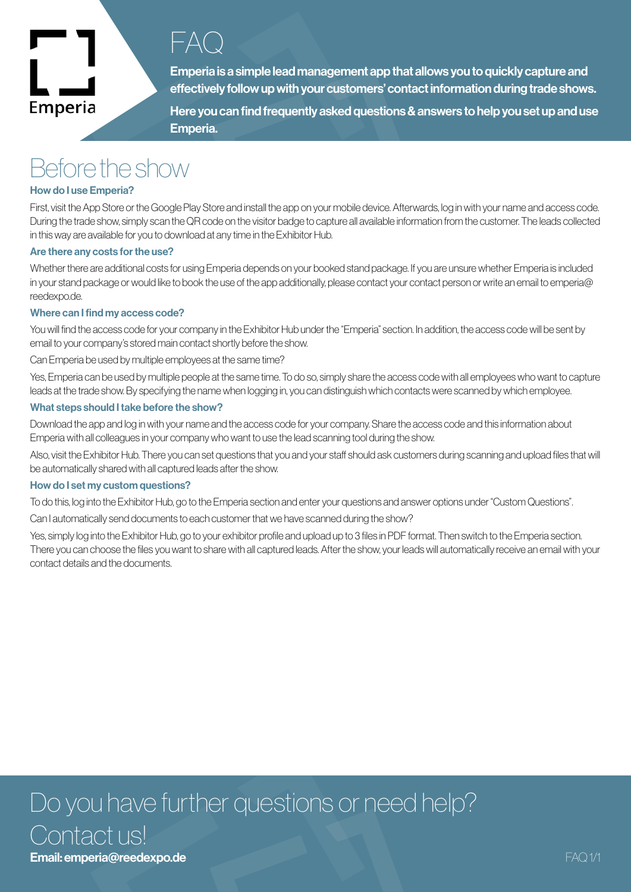

### $\vdash \Delta$ ( )

Emperia is a simple lead management app that allows you to quickly capture and effectively follow up with your customers' contact information during trade shows.

Here you can find frequently asked questions & answers to help you set up and use Emperia.

## Before the show

#### How do I use Emperia?

First, visit the App Store or the Google Play Store and install the app on your mobile device. Afterwards, log in with your name and access code. During the trade show, simply scan the QR code on the visitor badge to capture all available information from the customer. The leads collected in this way are available for you to download at any time in the Exhibitor Hub.

#### Are there any costs for the use?

Whether there are additional costs for using Emperia depends on your booked stand package. If you are unsure whether Emperia is included in your stand package or would like to book the use of the app additionally, please contact your contact person or write an email to emperia@ reedexpo.de.

#### Where can I find my access code?

You will find the access code for your company in the Exhibitor Hub under the "Emperia" section. In addition, the access code will be sent by email to your company's stored main contact shortly before the show.

Can Emperia be used by multiple employees at the same time?

Yes, Emperia can be used by multiple people at the same time. To do so, simply share the access code with all employees who want to capture leads at the trade show. By specifying the name when logging in, you can distinguish which contacts were scanned by which employee.

#### What steps should I take before the show?

Download the app and log in with your name and the access code for your company. Share the access code and this information about Emperia with all colleagues in your company who want to use the lead scanning tool during the show.

Also, visit the Exhibitor Hub. There you can set questions that you and your staff should ask customers during scanning and upload files that will be automatically shared with all captured leads after the show.

#### How do I set my custom questions?

To do this, log into the Exhibitor Hub, go to the Emperia section and enter your questions and answer options under "Custom Questions".

Can I automatically send documents to each customer that we have scanned during the show?

Yes, simply log into the Exhibitor Hub, go to your exhibitor profile and upload up to 3 files in PDF format. Then switch to the Emperia section. There you can choose the files you want to share with all captured leads. After the show, your leads will automatically receive an email with your contact details and the documents.

## Do you have further questions or need help? Contact us! Email: emperia@reedexpo.de FAQ 1/1